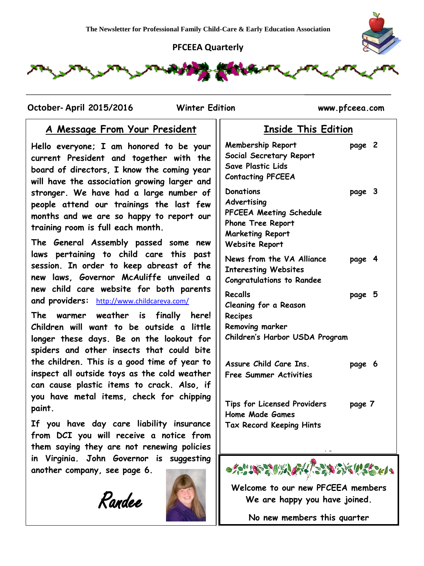#### **PFCEEA Quarterly**



 **October- April 2015/2016 Winter Edition www.pfceea.com**

## **A Message From Your President**

**Hello everyone; I am honored to be your current President and together with the board of directors, I know the coming year will have the association growing larger and stronger. We have had a large number of people attend our trainings the last few months and we are so happy to report our training room is full each month.** 

**The General Assembly passed some new laws pertaining to child care this past session. In order to keep abreast of the new laws, Governor McAuliffe unveiled a new child care website for both parents and providers:** <http://www.childcareva.com/>

**The warmer weather is finally here! Children will want to be outside a little longer these days. Be on the lookout for spiders and other insects that could bite the children. This is a good time of year to inspect all outside toys as the cold weather can cause plastic items to crack. Also, if you have metal items, check for chipping paint.**

**If you have day care liability insurance from DCI you will receive a notice from them saying they are not renewing policies in Virginia. John Governor is suggesting another company, see page 6.**





| ווטווויט כוווט טטוטווי                                                                                                       |        |  |
|------------------------------------------------------------------------------------------------------------------------------|--------|--|
| Membership Report<br>Social Secretary Report<br>Save Plastic Lids<br><b>Contacting PFCEEA</b>                                | page 2 |  |
| <b>Donations</b><br>Advertising<br>PFCEEA Meeting Schedule<br>Phone Tree Report<br><b>Marketing Report</b><br>Website Report | page 3 |  |
| News from the VA Alliance<br><b>Interesting Websites</b><br><b>Congratulations to Randee</b>                                 | page 4 |  |
| Recalls<br>Cleaning for a Reason<br>Recipes<br>Removing marker<br>Children's Harbor USDA Program                             | page 5 |  |
| Assure Child Care Ins.<br>Free Summer Activities                                                                             | page 6 |  |

**Inside This Edition**

**Tips for Licensed Providers page 7 Home Made Games Tax Record Keeping Hints**



**Welcome to our new PFCEEA members We are happy you have joined.**

**No new members this quarter**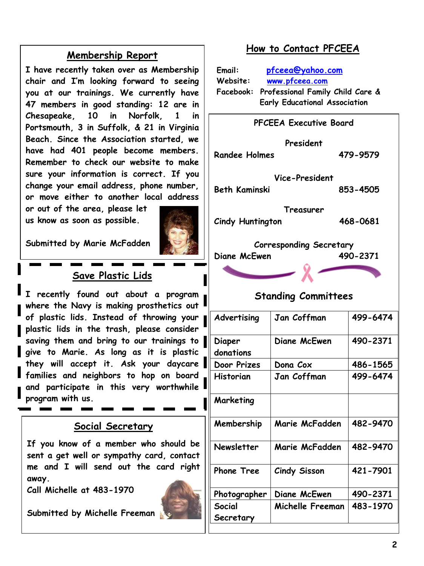## **Membership Report**

**I have recently taken over as Membership chair and I'm looking forward to seeing you at our trainings. We currently have 47 members in good standing: 12 are in Chesapeake, 10 in Norfolk, 1 in Portsmouth, 3 in Suffolk, & 21 in Virginia Beach. Since the Association started, we have had 401 people become members. Remember to check our website to make sure your information is correct. If you change your email address, phone number, or move either to another local address** 

**or out of the area, please let us know as soon as possible.**

**Submitted by Marie McFadden**



## **Save Plastic Lids**

**I recently found out about a program where the Navy is making prosthetics out of plastic lids. Instead of throwing your plastic lids in the trash, please consider saving them and bring to our trainings to give to Marie. As long as it is plastic they will accept it. Ask your daycare families and neighbors to hop on board and participate in this very worthwhile program with us.**

## **Social Secretary**

**If you know of a member who should be sent a get well or sympathy card, contact me and I will send out the card right away.**

**Call Michelle at 483-1970**

**Submitted by Michelle Freeman**



## **How to Contact PFCEEA**

| Email:   | pfceea@yahoo.com                                                                   |  |
|----------|------------------------------------------------------------------------------------|--|
| Website: | www.pfceea.com                                                                     |  |
|          | Facebook: Professional Family Child Care &<br><b>Early Educational Association</b> |  |

| <b>PFCEEA Executive Board</b>          |                     |          |  |  |  |
|----------------------------------------|---------------------|----------|--|--|--|
| <b>Randee Holmes</b>                   | President           | 479-9579 |  |  |  |
|                                        |                     |          |  |  |  |
| Vice-President<br><b>Beth Kaminski</b> |                     | 853-4505 |  |  |  |
|                                        | Treasurer           |          |  |  |  |
| <b>Cindy Huntington</b>                |                     | 468-0681 |  |  |  |
| <b>Corresponding Secretary</b>         |                     |          |  |  |  |
| Diane McEwen                           |                     | 490-2371 |  |  |  |
|                                        |                     |          |  |  |  |
|                                        |                     |          |  |  |  |
| <b>Standing Committees</b>             |                     |          |  |  |  |
| Advertising                            | Jan Coffman         | 499-6474 |  |  |  |
| Diaper<br>donations                    | Diane McEwen        | 490-2371 |  |  |  |
| Door Prizes                            | Dona Cox            | 486-1565 |  |  |  |
| <b>Historian</b>                       | Jan Coffman         | 499-6474 |  |  |  |
| Marketing                              |                     |          |  |  |  |
| Membership                             | Marie McFadden      | 482-9470 |  |  |  |
| <b>Newsletter</b>                      | Marie McFadden      | 482-9470 |  |  |  |
| <b>Phone Tree</b>                      | <b>Cindy Sisson</b> | 421-7901 |  |  |  |
| Photographer                           | Diane McEwen        | 490-2371 |  |  |  |
| Social                                 | Michelle Freeman    | 483-1970 |  |  |  |
| Secretary                              |                     |          |  |  |  |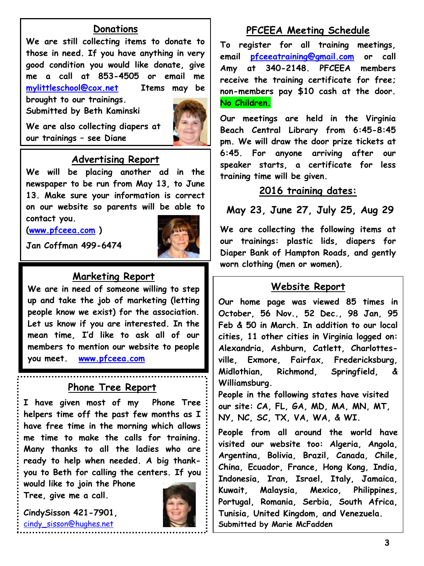### **Donations**

**We are still collecting items to donate to those in need. If you have anything in very good condition you would like donate, give me a call at 853-4505 or email me [mylittleschool@cox.net](mailto:mylittleschool@cox.net) Items may be brought to our trainings.**

**Submitted by Beth Kaminski**



#### **We are also collecting diapers at our trainings – see Diane**

#### **Advertising Report**

**We will be placing another ad in the newspaper to be run from May 13, to June 13. Make sure your information is correct on our website so parents will be able to contact you.**

**[\(www.pfceea.com](http://www.pfceea.com/) )**



**Jan Coffman 499-6474**

### **Marketing Report**

**We are in need of someone willing to step up and take the job of marketing (letting people know we exist) for the association. Let us know if you are interested. In the mean time, I'd like to ask all of our members to mention our website to people you meet. [www.pfceea.com](http://www.pfceea.com/)**

#### **Phone Tree Report**

**I have given most of my Phone Tree helpers time off the past few months as I have free time in the morning which allows me time to make the calls for training. Many thanks to all the ladies who are ready to help when needed. A big thankyou to Beth for calling the centers. If you** 

**would like to join the Phone Tree, give me a call.** 

**CindySisson 421-7901,**  [cindy\\_sisson@hughes.net](mailto:cindy_sisson@hughes.net)

**Phone Tree Chairwoman**



## **PFCEEA Meeting Schedule**

**To register for all training meetings, email [pfceeatraining@gmail.com](mailto:pfceeatraining@gmail.com) or call Amy at 340-2148. PFCEEA members receive the training certificate for free; non-members pay \$10 cash at the door. No Children.**

**Our meetings are held in the Virginia Beach Central Library from 6:45-8:45 pm. We will draw the door prize tickets at 6:45. For anyone arriving after our speaker starts, a certificate for less training time will be given.** 

#### **2016 training dates:**

## **May 23, June 27, July 25, Aug 29**

**We are collecting the following items at our trainings: plastic lids, diapers for Diaper Bank of Hampton Roads, and gently worn clothing (men or women).**

#### **Website Report**

**Our home page was viewed 85 times in October, 56 Nov., 52 Dec., 98 Jan, 95 Feb & 50 in March. In addition to our local cities, 11 other cities in Virginia logged on: Alexandria, Ashburn, Catlett, Charlottesville, Exmore, Fairfax, Fredericksburg, Midlothian, Richmond, Springfield, & Williamsburg.**

**People in the following states have visited our site: CA, FL, GA, MD, MA, MN, MT, NY, NC, SC, TX, VA, WA, & WI.**

**People from all around the world have visited our website too: Algeria, Angola, Argentina, Bolivia, Brazil, Canada, Chile, China, Ecuador, France, Hong Kong, India, Indonesia, Iran, Israel, Italy, Jamaica, Kuwait, Malaysia, Mexico, Philippines, Portugal, Romania, Serbia, South Africa, Tunisia, United Kingdom, and Venezuela. Submitted by Marie McFadden**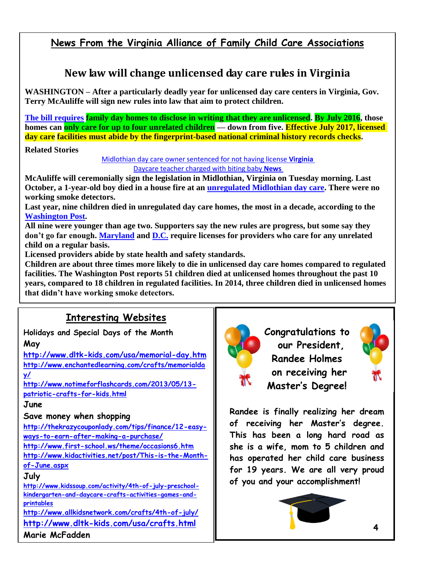## **News From the Virginia Alliance of Family Child Care Associations**

## **New law will change unlicensed day care rules in Virginia**

**WASHINGTON – After a particularly deadly year for unlicensed day care centers in Virginia, Gov. Terry McAuliffe will sign new rules into law that aim to protect children.**

**[The bill requires](http://leg1.state.va.us/cgi-bin/legp504.exe?151+sum+HB1570%20) family day homes to disclose in writing that they are unlicensed. By July 2016, those homes can only care for up to four unrelated children — down from five. Effective July 2017, licensed day care facilities must abide by the fingerprint-based national criminal history records checks.**

#### **Related Stories**

[Midlothian day care owner sentenced for not having license](http://wtop.com/virginia/2015/03/midlothian-day-care-owner-sentenced-for-not-having-license/) **Virginia** [Daycare teacher charged with biting baby](http://wtop.com/news/2014/09/daycare-teacher-charged-with-biting-baby/) **News**

**McAuliffe will ceremonially sign the legislation in Midlothian, Virginia on Tuesday morning. Last October, a 1-year-old boy died in a house fire at an [unregulated Midlothian day care.](http://wtop.com/virginia/2015/03/midlothian-day-care-owner-sentenced-for-not-having-license/) There were no working smoke detectors.**

**Last year, nine children died in unregulated day care homes, the most in a decade, according to the [Washington Post.](http://www.washingtonpost.com/investigations/nine-va-children-died-in-unregulated-day-care-in-2014-the-deadliest-year-in-a-decade/2014/12/30/bf302040-8161-11e4-81fd-8c4814dfa9d7_story.html)**

**All nine were younger than age two. Supporters say the new rules are progress, but some say they don't go far enough. [Maryland](http://www.msde.maryland.gov/MSDE/divisions/child_care/licensing_branch/find.html) and [D.C.](http://osse.dc.gov/service/licensing-early-learning-providers) require licenses for providers who care for any unrelated child on a regular basis.**

**Licensed providers abide by state health and safety standards.**

**Children are about three times more likely to die in unlicensed day care homes compared to regulated facilities. The Washington Post reports 51 children died at unlicensed homes throughout the past 10 years, compared to 18 children in regulated facilities. In 2014, three children died in unlicensed homes that didn't have working smoke detectors.**

## **Interesting Websites**

**Holidays and Special Days of the Month May**

**<http://www.dltk-kids.com/usa/memorial-day.htm> [http://www.enchantedlearning.com/crafts/memorialda](http://www.enchantedlearning.com/crafts/memorialday/) [y/](http://www.enchantedlearning.com/crafts/memorialday/)**

**[http://www.notimeforflashcards.com/2013/05/13](http://www.notimeforflashcards.com/2013/05/13-patriotic-crafts-for-kids.html) [patriotic-crafts-for-kids.html](http://www.notimeforflashcards.com/2013/05/13-patriotic-crafts-for-kids.html)**

#### **June**

#### **Save money when shopping**

**[http://thekrazycouponlady.com/tips/finance/12-easy](http://thekrazycouponlady.com/tips/finance/12-easy-ways-to-earn-after-making-a-purchase/)[ways-to-earn-after-making-a-purchase/](http://thekrazycouponlady.com/tips/finance/12-easy-ways-to-earn-after-making-a-purchase/) <http://www.first-school.ws/theme/occasions6.htm>**

**[http://www.kidactivities.net/post/This-is-the-Month](http://www.kidactivities.net/post/This-is-the-Month-of-June.aspx)[of-June.aspx](http://www.kidactivities.net/post/This-is-the-Month-of-June.aspx)**

#### **July**

**[http://www.kidssoup.com/activity/4th-of-july-preschool](http://www.kidssoup.com/activity/4th-of-july-preschool-kindergarten-and-daycare-crafts-activities-games-and-printables)[kindergarten-and-daycare-crafts-activities-games-and](http://www.kidssoup.com/activity/4th-of-july-preschool-kindergarten-and-daycare-crafts-activities-games-and-printables)[printables](http://www.kidssoup.com/activity/4th-of-july-preschool-kindergarten-and-daycare-crafts-activities-games-and-printables)**

**<http://www.allkidsnetwork.com/crafts/4th-of-july/> <http://www.dltk-kids.com/usa/crafts.html> Marie McFadden**



**Congratulations to our President, Randee Holmes on receiving her Master's Degree!**



**Randee is finally realizing her dream of receiving her Master's degree. This has been a long hard road as she is a wife, mom to 5 children and has operated her child care business for 19 years. We are all very proud of you and your accomplishment!**

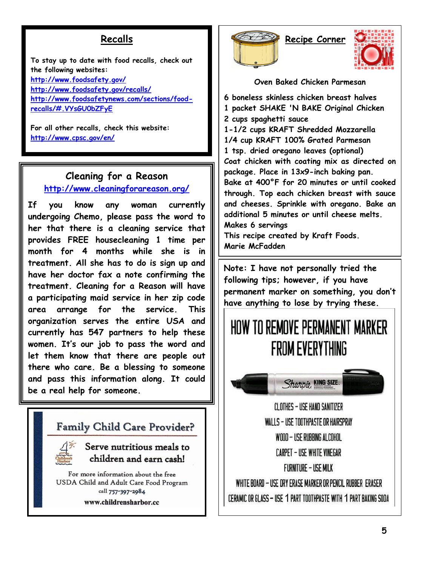## **Recalls**

**To stay up to date with food recalls, check out the following websites: <http://www.foodsafety.gov/> <http://www.foodsafety.gov/recalls/> [http://www.foodsafetynews.com/sections/food](http://www.foodsafetynews.com/sections/food-recalls/#.VYsGU0bZFyE)[recalls/#.VYsGU0bZFyE](http://www.foodsafetynews.com/sections/food-recalls/#.VYsGU0bZFyE)**

**For all other recalls, check this website: <http://www.cpsc.gov/en/>**

## **<http://www.cleaningforareason.org/> Cleaning for a Reason**

**If you know any woman currently undergoing Chemo, please pass the word to her that there is a cleaning service that provides FREE housecleaning 1 time per month for 4 months while she is in treatment. All she has to do is sign up and have her doctor fax a note confirming the treatment. Cleaning for a Reason will have a participating maid service in her zip code area arrange for the service. This organization serves the entire USA and currently has 547 partners to help these women. It's our job to pass the word and let them know that there are people out there who care. Be a blessing to someone and pass this information along. It could be a real help for someone.**

**Family Child Care Provider?** 



Serve nutritious meals to children and earn cash!

For more information about the free USDA Child and Adult Care Food Program call 757-397-2984 www.childrensharbor.cc



**Recipe Corner**



**Oven Baked Chicken Parmesan**

**6 boneless skinless chicken breast halves 1 packet SHAKE 'N BAKE Original Chicken 2 cups spaghetti sauce 1-1/2 cups KRAFT Shredded Mozzarella 1/4 cup KRAFT 100% Grated Parmesan 1 tsp. dried oregano leaves (optional) Coat chicken with coating mix as directed on package. Place in 13x9-inch baking pan. Bake at 400°F for 20 minutes or until cooked through. Top each chicken breast with sauce and cheeses. Sprinkle with oregano. Bake an additional 5 minutes or until cheese melts. Makes 6 servings This recipe created by Kraft Foods. Marie McFadden**

**Note: I have not personally tried the following tips; however, if you have permanent marker on something, you don't have anything to lose by trying these.**

# HOW TO REMOVE PERMANENT MARKER **FROM EVERYTHING**

Sharpie KING SIZE.

CLOTHES - USE HAND SANITIZER WALLS - USE TOOTHPASTE OR HAIRSPRAY WOOD - USE RUBBING ALCOHOL CARPET - USE WHITE VINEGAR **FURNITURE - USE MILK** WHITE BOARD - USE DRY ERASE MARKER OR PENCIL RUBBER ERASER CERAMIC OR GLASS - USE 1 PART TOOTHPASTE WITH 1 PART BAKING SODA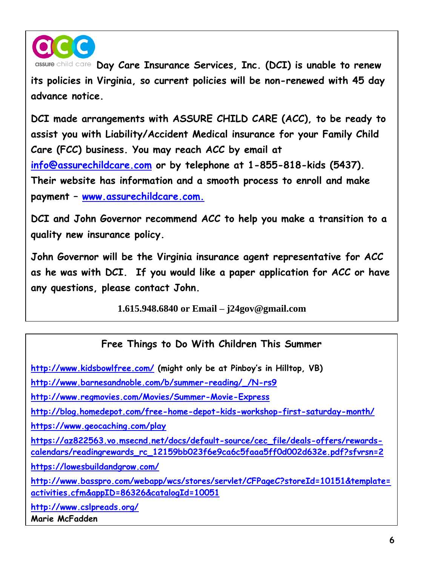

assure child care **Day Care Insurance Services, Inc. (DCI) is unable to renew its policies in Virginia, so current policies will be non-renewed with 45 day advance notice.** 

**DCI made arrangements with ASSURE CHILD CARE (ACC), to be ready to assist you with Liability/Accident Medical insurance for your Family Child Care (FCC) business. You may reach ACC by email at [info@assurechildcare.com](mailto:info@assurechildcare.com) or by telephone at 1-855-818-kids (5437). Their website has information and a smooth process to enroll and make payment – [www.assurechildcare.com.](http://www.assurechildcare.com/)** 

**DCI and John Governor recommend ACC to help you make a transition to a quality new insurance policy.** 

**John Governor will be the Virginia insurance agent representative for ACC as he was with DCI. If you would like a paper application for ACC or have any questions, please contact John.**

**1.615.948.6840 or Email – j24gov@gmail.com**

## **Free Things to Do With Children This Summer**

**<http://www.kidsbowlfree.com/> (might only be at Pinboy's in Hilltop, VB) [http://www.barnesandnoble.com/b/summer-reading/\\_/N-rs9](http://www.barnesandnoble.com/b/summer-reading/_/N-rs9) <http://www.regmovies.com/Movies/Summer-Movie-Express> <http://blog.homedepot.com/free-home-depot-kids-workshop-first-saturday-month/> <https://www.geocaching.com/play> [https://az822563.vo.msecnd.net/docs/default-source/cec\\_file/deals-offers/rewards](https://az822563.vo.msecnd.net/docs/default-source/cec_file/deals-offers/rewards-calendars/readingrewards_rc_12159bb023f6e9ca6c5faaa5ff0d002d632e.pdf?sfvrsn=2)[calendars/readingrewards\\_rc\\_12159bb023f6e9ca6c5faaa5ff0d002d632e.pdf?sfvrsn=2](https://az822563.vo.msecnd.net/docs/default-source/cec_file/deals-offers/rewards-calendars/readingrewards_rc_12159bb023f6e9ca6c5faaa5ff0d002d632e.pdf?sfvrsn=2) <https://lowesbuildandgrow.com/> [http://www.basspro.com/webapp/wcs/stores/servlet/CFPageC?storeId=10151&template=](http://www.basspro.com/webapp/wcs/stores/servlet/CFPageC?storeId=10151&template=activities.cfm&appID=86326&catalogId=10051) [activities.cfm&appID=86326&catalogId=10051](http://www.basspro.com/webapp/wcs/stores/servlet/CFPageC?storeId=10151&template=activities.cfm&appID=86326&catalogId=10051) <http://www.cslpreads.org/> Marie McFadden**